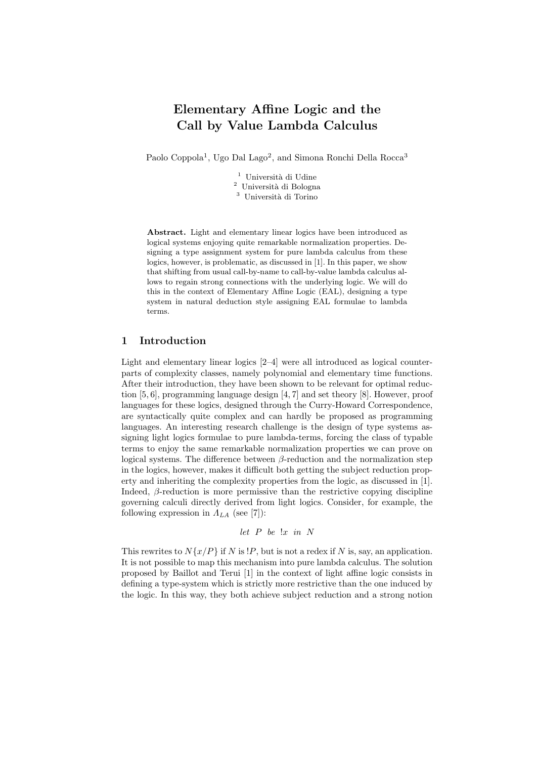# Elementary Affine Logic and the Call by Value Lambda Calculus

Paolo Coppola<sup>1</sup>, Ugo Dal Lago<sup>2</sup>, and Simona Ronchi Della Rocca<sup>3</sup>

 $^{\rm 1}$ Università di Udine  $^2\,$ Università di Bologna <sup>3</sup> Università di Torino

Abstract. Light and elementary linear logics have been introduced as logical systems enjoying quite remarkable normalization properties. Designing a type assignment system for pure lambda calculus from these logics, however, is problematic, as discussed in [1]. In this paper, we show that shifting from usual call-by-name to call-by-value lambda calculus allows to regain strong connections with the underlying logic. We will do this in the context of Elementary Affine Logic (EAL), designing a type system in natural deduction style assigning EAL formulae to lambda terms.

#### 1 Introduction

Light and elementary linear logics  $[2-4]$  were all introduced as logical counterparts of complexity classes, namely polynomial and elementary time functions. After their introduction, they have been shown to be relevant for optimal reduction [5, 6], programming language design [4, 7] and set theory [8]. However, proof languages for these logics, designed through the Curry-Howard Correspondence, are syntactically quite complex and can hardly be proposed as programming languages. An interesting research challenge is the design of type systems assigning light logics formulae to pure lambda-terms, forcing the class of typable terms to enjoy the same remarkable normalization properties we can prove on logical systems. The difference between  $\beta$ -reduction and the normalization step in the logics, however, makes it difficult both getting the subject reduction property and inheriting the complexity properties from the logic, as discussed in [1]. Indeed,  $\beta$ -reduction is more permissive than the restrictive copying discipline governing calculi directly derived from light logics. Consider, for example, the following expression in  $\Lambda_{LA}$  (see [7]):

let 
$$
P
$$
 be  $x$  in  $N$ 

This rewrites to  $N\{x/P\}$  if N is !P, but is not a redex if N is, say, an application. It is not possible to map this mechanism into pure lambda calculus. The solution proposed by Baillot and Terui [1] in the context of light affine logic consists in defining a type-system which is strictly more restrictive than the one induced by the logic. In this way, they both achieve subject reduction and a strong notion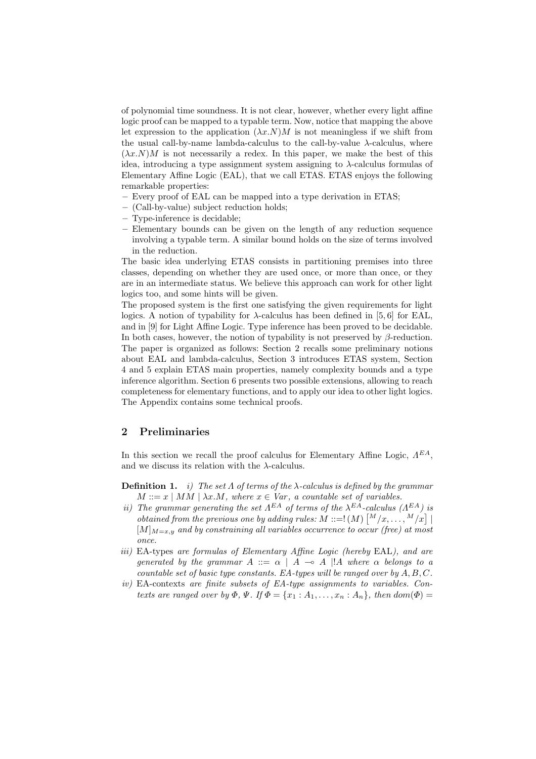of polynomial time soundness. It is not clear, however, whether every light affine logic proof can be mapped to a typable term. Now, notice that mapping the above let expression to the application  $(\lambda x.N)M$  is not meaningless if we shift from the usual call-by-name lambda-calculus to the call-by-value  $\lambda$ -calculus, where  $(\lambda x.N)M$  is not necessarily a redex. In this paper, we make the best of this idea, introducing a type assignment system assigning to  $\lambda$ -calculus formulas of Elementary Affine Logic (EAL), that we call ETAS. ETAS enjoys the following remarkable properties:

- Every proof of EAL can be mapped into a type derivation in ETAS;
- (Call-by-value) subject reduction holds;
- Type-inference is decidable;
- Elementary bounds can be given on the length of any reduction sequence involving a typable term. A similar bound holds on the size of terms involved in the reduction.

The basic idea underlying ETAS consists in partitioning premises into three classes, depending on whether they are used once, or more than once, or they are in an intermediate status. We believe this approach can work for other light logics too, and some hints will be given.

The proposed system is the first one satisfying the given requirements for light logics. A notion of typability for  $\lambda$ -calculus has been defined in [5,6] for EAL, and in [9] for Light Affine Logic. Type inference has been proved to be decidable. In both cases, however, the notion of typability is not preserved by  $\beta$ -reduction. The paper is organized as follows: Section 2 recalls some preliminary notions about EAL and lambda-calculus, Section 3 introduces ETAS system, Section 4 and 5 explain ETAS main properties, namely complexity bounds and a type inference algorithm. Section 6 presents two possible extensions, allowing to reach completeness for elementary functions, and to apply our idea to other light logics. The Appendix contains some technical proofs.

## 2 Preliminaries

In this section we recall the proof calculus for Elementary Affine Logic,  $\Lambda^{EA}$ , and we discuss its relation with the  $\lambda$ -calculus.

- **Definition 1.** *i)* The set  $\Lambda$  of terms of the  $\lambda$ -calculus is defined by the grammar  $M ::= x | MM | \lambda x.M$ , where  $x \in Var$ , a countable set of variables.
- ii) The grammar generating the set  $\Lambda^{EA}$  of terms of the  $\lambda^{EA}$ -calculus  $(\Lambda^{EA})$  is obtained from the previous one by adding rules:  $M ::= !(M) {M/x, ..., M/x}$  $[M]_{M=x,y}$  and by constraining all variables occurrence to occur (free) at most once.
- iii) EA-types are formulas of Elementary Affine Logic (hereby EAL), and are generated by the grammar  $A ::= \alpha \mid A \rightarrow A \mid A$  where  $\alpha$  belongs to a countable set of basic type constants. EA-types will be ranged over by  $A, B, C$ .
- iv) EA-contexts are finite subsets of EA-type assignments to variables. Contexts are ranged over by  $\Phi$ ,  $\Psi$ . If  $\Phi = \{x_1 : A_1, \ldots, x_n : A_n\}$ , then  $dom(\Phi)$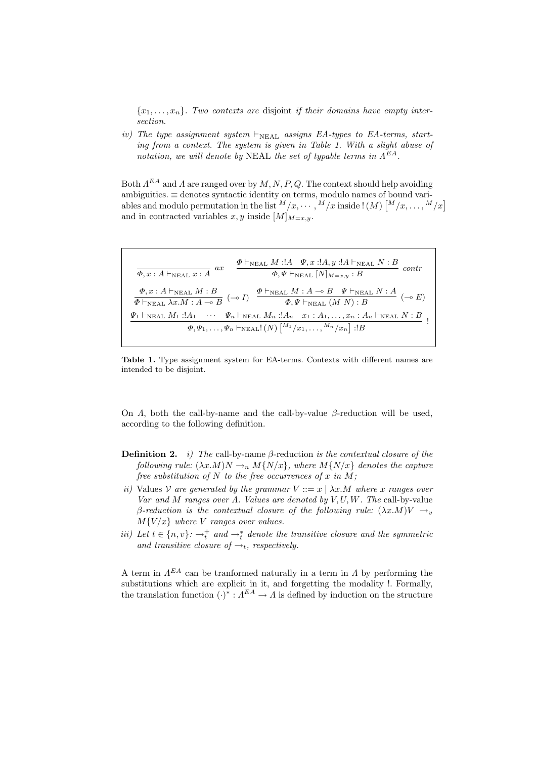${x_1, \ldots, x_n}$ . Two contexts are disjoint if their domains have empty intersection.

iv) The type assignment system  $\vdash_{NFAL}$  assigns EA-types to EA-terms, starting from a context. The system is given in Table 1. With a slight abuse of notation, we will denote by NEAL the set of typable terms in  $\Lambda^{EA}$ .

Both  $A^{EA}$  and A are ranged over by  $M, N, P, Q$ . The context should help avoiding ambiguities. ≡ denotes syntactic identity on terms, modulo names of bound variables and modulo permutation in the list  $^{M}/x, \cdots, {^{M}}/x$  inside !  $(M)$   $\lceil {^{M}}/{x, \ldots, {^{M}}/x} \rceil$ and in contracted variables x, y inside  $[M]_{M=x,y}$ .

$$
\overline{\Phi}, x : A \vdash_{\text{NEAL}} x : A \quad ax \quad \overline{\Phi} \vdash_{\text{NEAL}} M : A \quad \Psi, x : A, y : A \vdash_{\text{NEAL}} N : B \quad contr
$$
\n
$$
\overline{\Phi}, x : A \vdash_{\text{NEAL}} M : B \quad \overline{\Phi} \vdash_{\text{NEAL}} M : A \multimap B \quad \Psi \vdash_{\text{NEAL}} N : A \quad \overline{\Phi} \vdash_{\text{NEAL}} N : A \quad \overline{\Phi} \vdash_{\text{NEAL}} M : A \multimap B \quad \Psi \vdash_{\text{NEAL}} N : A \quad \overline{\Phi} \vdash_{\text{NEAL}} M : A \multimap B \quad \Psi \vdash_{\text{NEAL}} (M \quad N) : B \quad \Psi_1 \vdash_{\text{NEAL}} M_1 : A_1 \quad \cdots \quad \Psi_n \vdash_{\text{NEAL}} M_n : A_n \quad x_1 : A_1, \ldots, x_n : A_n \vdash_{\text{NEAL}} N : B \quad \Phi, \Psi_1, \ldots, \Psi_n \vdash_{\text{NEAL}} ! (N) \left[ \begin{matrix} M_1 / x_1, \ldots, M_n / x_n \end{matrix} \right] : B \quad \overline{\Phi} \vdash_{\text{NEAL}} N : B \quad \overline{\Phi} \vdash_{\text{NEAL}} N : B \quad \overline{\Phi} \vdash_{\text{NEAL}} \end{matrix}
$$

Table 1. Type assignment system for EA-terms. Contexts with different names are intended to be disjoint.

On  $\Lambda$ , both the call-by-name and the call-by-value  $\beta$ -reduction will be used, according to the following definition.

- **Definition 2.** i) The call-by-name  $\beta$ -reduction is the contextual closure of the following rule:  $(\lambda x.M)N \rightarrow_n M\{N/x\}$ , where  $M\{N/x\}$  denotes the capture free substitution of N to the free occurrences of x in M;
- ii) Values V are generated by the grammar  $V ::= x \mid \lambda x.M$  where x ranges over Var and M ranges over  $\Lambda$ . Values are denoted by  $V, U, W$ . The call-by-value β-reduction is the contextual closure of the following rule:  $(\lambda x.M)V \rightarrow_{v}$  $M{V/x}$  where V ranges over values.
- iii) Let  $t \in \{n, v\}$ :  $\rightarrow_t^+$  and  $\rightarrow_t^*$  denote the transitive closure and the symmetric and transitive closure of  $\rightarrow_t$ , respectively.

A term in  $\Lambda^{EA}$  can be tranformed naturally in a term in  $\Lambda$  by performing the substitutions which are explicit in it, and forgetting the modality !. Formally, the translation function  $(\cdot)^* : A^{EA} \to A$  is defined by induction on the structure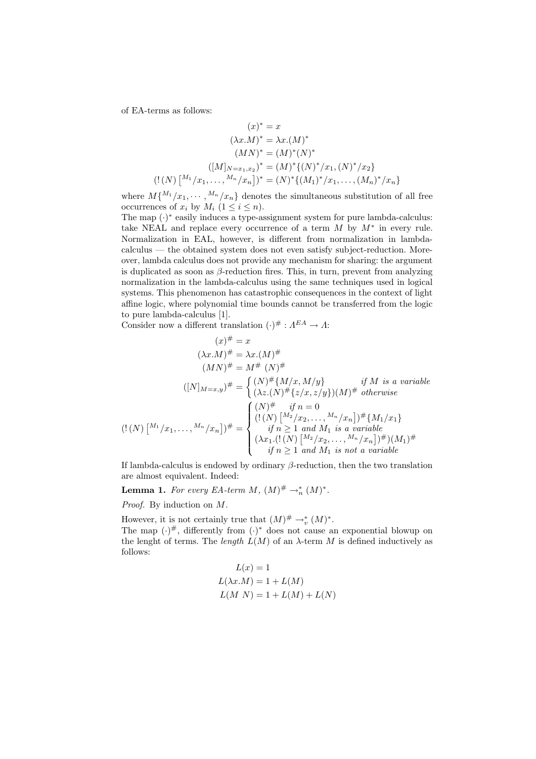of EA-terms as follows:

$$
(x)^{*} = x
$$
  
\n
$$
(\lambda x.M)^{*} = \lambda x.(M)^{*}
$$
  
\n
$$
(MN)^{*} = (M)^{*}(N)^{*}
$$
  
\n
$$
([M]_{N=x_{1},x_{2}})^{*} = (M)^{*}\{(N)^{*}/x_{1}, (N)^{*}/x_{2}\}
$$
  
\n
$$
(!N) [^{M_{1}}/x_{1},...,^{M_{n}}/x_{n}]^{*} = (N)^{*}\{(M_{1})^{*}/x_{1},..., (M_{n})^{*}/x_{n}\}
$$

where  $M\{M_1/x_1, \cdots, M_n/x_n\}$  denotes the simultaneous substitution of all free occurrences of  $x_i$  by  $M_i$   $(1 \leq i \leq n)$ .

The map  $(\cdot)$ <sup>\*</sup> easily induces a type-assignment system for pure lambda-calculus: take NEAL and replace every occurrence of a term  $M$  by  $M^*$  in every rule. Normalization in EAL, however, is different from normalization in lambdacalculus — the obtained system does not even satisfy subject-reduction. Moreover, lambda calculus does not provide any mechanism for sharing: the argument is duplicated as soon as  $\beta$ -reduction fires. This, in turn, prevent from analyzing normalization in the lambda-calculus using the same techniques used in logical systems. This phenomenon has catastrophic consequences in the context of light affine logic, where polynomial time bounds cannot be transferred from the logic to pure lambda-calculus [1].

Consider now a different translation  $(\cdot)^\# : \Lambda^{EA} \to \Lambda$ :

$$
(x)^{\#} = x
$$
  
\n
$$
(\lambda x.M)^{\#} = \lambda x.(M)^{\#}
$$
  
\n
$$
(MN)^{\#} = M^{\#}(N)^{\#}
$$
  
\n
$$
([N]_{M=x,y})^{\#} = \begin{cases} (N)^{\#}\{M/x, M/y\} & \text{if } M \text{ is a variable} \\ (\lambda z.(N)^{\#}\{z/x, z/y\})(M)^{\#} \text{ otherwise} \end{cases}
$$
  
\n
$$
((N) [M_1/x_1, \ldots, M_n/x_n])^{\#} = \begin{cases} (N)^{\#} & \text{if } n = 0 \\ (!(N) [M_2/x_2, \ldots, M_n/x_n])^{\#}\{M_1/x_1\} \\ (j \in N_1, (!(N) [M_2/x_2, \ldots, M_n/x_n])^{\#})(M_1)^{\#} \\ (j \in N_1 \ge 1 \text{ and } M_1 \text{ is not a variable}) \end{cases}
$$

If lambda-calculus is endowed by ordinary  $\beta$ -reduction, then the two translation are almost equivalent. Indeed:

**Lemma 1.** For every EA-term M,  $(M)^{\#} \rightarrow_n^* (M)^*$ .

Proof. By induction on M.

However, it is not certainly true that  $(M)^\# \to_v^* (M)^*$ . The map  $(\cdot)^\#$ , differently from  $(\cdot)^\ast$  does not cause an exponential blowup on the lenght of terms. The *length*  $L(M)$  of an  $\lambda$ -term M is defined inductively as follows:

$$
L(x) = 1
$$
  
\n
$$
L(\lambda x.M) = 1 + L(M)
$$
  
\n
$$
L(M\ N) = 1 + L(M) + L(N)
$$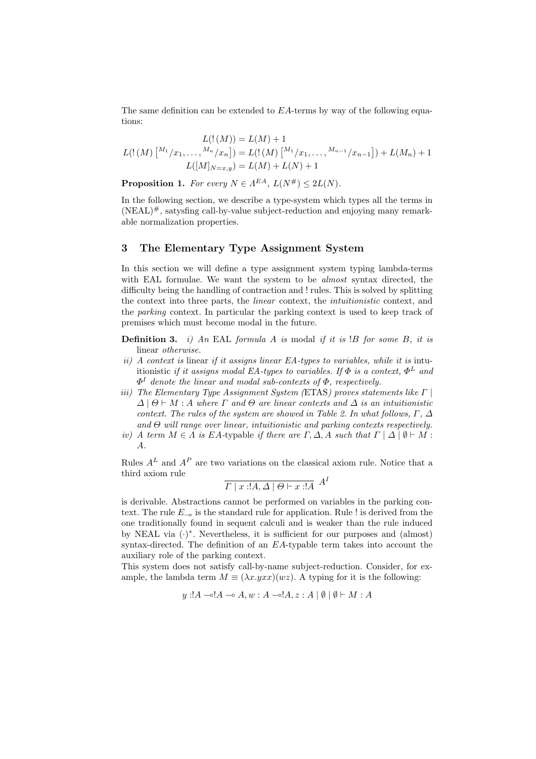The same definition can be extended to EA-terms by way of the following equations:

$$
L(!(M)) = L(M) + 1
$$
  
\n
$$
L(!(M) \left[ \begin{matrix} M_1/x_1, \dots, M_n/x_n \end{matrix} \right] = L(!(M) \left[ \begin{matrix} M_1/x_1, \dots, M_{n-1}/x_{n-1} \end{matrix} \right] ) + L(M_n) + 1
$$
  
\n
$$
L([M]_{N=x,y}) = L(M) + L(N) + 1
$$

**Proposition 1.** For every  $N \in \Lambda^{EA}$ ,  $L(N^{\#}) \leq 2L(N)$ .

In the following section, we describe a type-system which types all the terms in (NEAL) #, satysfing call-by-value subject-reduction and enjoying many remarkable normalization properties.

## 3 The Elementary Type Assignment System

In this section we will define a type assignment system typing lambda-terms with EAL formulae. We want the system to be *almost* syntax directed, the difficulty being the handling of contraction and ! rules. This is solved by splitting the context into three parts, the linear context, the intuitionistic context, and the parking context. In particular the parking context is used to keep track of premises which must become modal in the future.

**Definition 3.** i) An EAL formula A is modal if it is  $B$  for some B, it is linear otherwise.

- ii) A context is linear if it assigns linear  $EA$ -types to variables, while it is intuitionistic if it assigns modal EA-types to variables. If  $\Phi$  is a context,  $\Phi^L$  and  $\Phi^I$  denote the linear and modal sub-contexts of  $\Phi$ , respectively.
- iii) The Elementary Type Assignment System (ETAS) proves statements like  $\Gamma$  $\Delta | \Theta \vdash M : A$  where  $\Gamma$  and  $\Theta$  are linear contexts and  $\Delta$  is an intuitionistic context. The rules of the system are showed in Table 2. In what follows,  $\Gamma$ ,  $\Delta$ and  $\Theta$  will range over linear, intuitionistic and parking contexts respectively.
- iv) A term  $M \in \Lambda$  is EA-typable if there are  $\Gamma, \Delta, A$  such that  $\Gamma \mid \Delta \mid \emptyset \vdash M$ : A.

Rules  $A<sup>L</sup>$  and  $A<sup>P</sup>$  are two variations on the classical axiom rule. Notice that a third axiom rule

$$
\overline{\Gamma \mid x : !A, \Delta \mid \Theta \vdash x : !A} \, A^I
$$

is derivable. Abstractions cannot be performed on variables in the parking context. The rule  $E_{-\infty}$  is the standard rule for application. Rule ! is derived from the one traditionally found in sequent calculi and is weaker than the rule induced by NEAL via (.)<sup>\*</sup>. Nevertheless, it is sufficient for our purposes and (almost) syntax-directed. The definition of an  $EA$ -typable term takes into account the auxiliary role of the parking context.

This system does not satisfy call-by-name subject-reduction. Consider, for example, the lambda term  $M \equiv (\lambda x.yxx)(wz)$ . A typing for it is the following:

$$
y: A \rightarrow A \rightarrow A, w: A \rightarrow A, z: A \mid \emptyset \mid \emptyset \vdash M: A
$$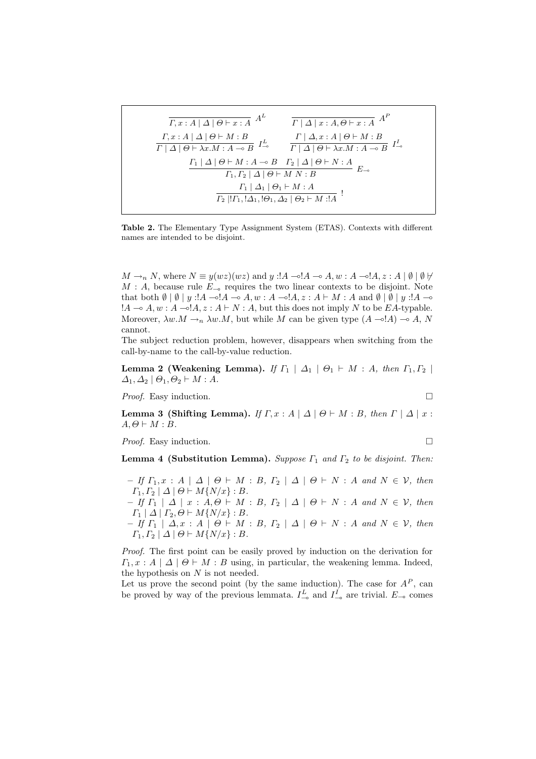$$
\frac{\Gamma, x:A \mid \Delta \mid \Theta \vdash x:A \quad A^{L}}{\Gamma \mid \Delta \mid x:A, \Theta \vdash x:A \quad A^{P}}
$$
\n
$$
\frac{\Gamma, x:A \mid \Delta \mid \Theta \vdash M:B}{\Gamma \mid \Delta \mid \Theta \vdash \lambda x.M:A \multimap B} \quad \frac{\Gamma \mid \Delta, x:A \mid \Theta \vdash M:B}{\Gamma \mid \Delta \mid \Theta \vdash \lambda x.M:A \multimap B} \quad I^{L}_{\multimap}
$$
\n
$$
\frac{\Gamma_{1} \mid \Delta \mid \Theta \vdash M:A \multimap B \quad \Gamma_{2} \mid \Delta \mid \Theta \vdash N:A}{\Gamma_{1}, \Gamma_{2} \mid \Delta \mid \Theta \vdash M N:B} \quad E_{\multimap}
$$
\n
$$
\frac{\Gamma_{1} \mid \Delta_{1} \mid \Theta_{1} \vdash M:A}{\Gamma_{2} \mid !\Gamma_{1}, !\Delta_{1}, !\Theta_{1}, \Delta_{2} \mid \Theta_{2} \vdash M : !A} \quad !
$$

Table 2. The Elementary Type Assignment System (ETAS). Contexts with different names are intended to be disjoint.

 $M \rightarrow_n N$ , where  $N \equiv y(wz)(wz)$  and  $y : A \rightarrow A$ ,  $w : A \rightarrow A$ ,  $z : A \mid \emptyset \mid \emptyset \not\vdash$  $M : A$ , because rule  $E_{-\infty}$  requires the two linear contexts to be disjoint. Note that both  $\emptyset \mid \emptyset \mid y : A \multimap A \multimap A, w : A \multimap A \in A$ ,  $z : A \vdash M : A$  and  $\emptyset \mid \emptyset \mid y : A \multimap A$  $!A \multimap A, w : A \multimap !A, z : A \vdash N : A$ , but this does not imply N to be EA-typable. Moreover,  $\lambda w.M \to_n \lambda w.M$ , but while M can be given type  $(A \to A) \to A$ , N cannot.

The subject reduction problem, however, disappears when switching from the call-by-name to the call-by-value reduction.

Lemma 2 (Weakening Lemma). If  $\Gamma_1 \mid \Delta_1 \mid \Theta_1 \vdash M : A$ , then  $\Gamma_1, \Gamma_2 \mid$  $\Delta_1, \Delta_2 \mid \Theta_1, \Theta_2 \vdash M : A$ .

*Proof.* Easy induction.  $\Box$ 

Lemma 3 (Shifting Lemma). If  $\Gamma, x : A \mid \Delta \mid \Theta \vdash M : B$ , then  $\Gamma \mid \Delta \mid x :$  $A, \Theta \vdash M : B$ .

*Proof.* Easy induction.  $\Box$ 

**Lemma 4 (Substitution Lemma).** Suppose  $\Gamma_1$  and  $\Gamma_2$  to be disjoint. Then:

– If  $\Gamma_1, x : A \mid \Delta \mid \Theta \vdash M : B, \Gamma_2 \mid \Delta \mid \Theta \vdash N : A \text{ and } N \in \mathcal{V}, \text{ then}$  $\Gamma_1, \Gamma_2 \mid \Delta \mid \Theta \vdash M\{N/x\} : B.$  $-$  If  $\Gamma_1 \mid \Delta \mid x : A, \Theta \vdash M : B, \Gamma_2 \mid \Delta \mid \Theta \vdash N : A$  and  $N \in \mathcal{V}$ , then  $\Gamma_1 \mid \Delta \mid \Gamma_2, \Theta \vdash M\{N/x\} : B.$ – If  $\Gamma_1 \mid \Delta, x : A \mid \Theta \vdash M : B, \Gamma_2 \mid \Delta \mid \Theta \vdash N : A \text{ and } N \in \mathcal{V}, \text{ then}$ 

 $\Gamma_1, \Gamma_2 \mid \Delta \mid \Theta \vdash M\{N/x\} : B.$ 

Proof. The first point can be easily proved by induction on the derivation for  $\Gamma_1, x : A \mid \Delta \mid \Theta \vdash M : B$  using, in particular, the weakening lemma. Indeed, the hypothesis on  $N$  is not needed.

Let us prove the second point (by the same induction). The case for  $A^P$ , can be proved by way of the previous lemmata.  $I_{-\infty}^L$  and  $I_{-\infty}^I$  are trivial.  $E_{-\infty}$  comes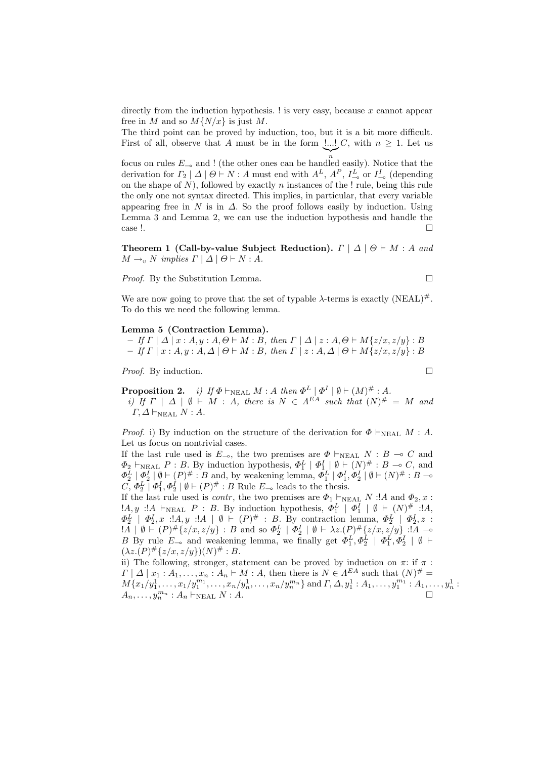directly from the induction hypothesis.  $\mathbf{I}$  is very easy, because x cannot appear free in M and so  $M\{N/x\}$  is just M.

The third point can be proved by induction, too, but it is a bit more difficult. First of all, observe that A must be in the form  $\lfloor ... \rfloor C$ , with  $n \geq 1$ . Let us  $\sum_{n}$ 

focus on rules  $E_{-\infty}$  and ! (the other ones can be handled easily). Notice that the derivation for  $\Gamma_2 | \Delta | \Theta \vdash N : A$  must end with  $A^L$ ,  $A^P$ ,  $I_{-\infty}^L$  or  $I_{-\infty}^I$  (depending on the shape of  $N$ ), followed by exactly  $n$  instances of the ! rule, being this rule the only one not syntax directed. This implies, in particular, that every variable appearing free in N is in  $\Delta$ . So the proof follows easily by induction. Using Lemma 3 and Lemma 2, we can use the induction hypothesis and handle the  $\cos$  !.

Theorem 1 (Call-by-value Subject Reduction).  $\Gamma | \Delta | \Theta \vdash M : A$  and  $M \rightarrow_v N$  implies  $\Gamma \mid \Delta \mid \Theta \vdash N : A$ .

Proof. By the Substitution Lemma.

$$
\qquad \qquad \Box
$$

We are now going to prove that the set of typable  $\lambda$ -terms is exactly  $(NEAL)^{\#}$ . To do this we need the following lemma.

#### Lemma 5 (Contraction Lemma).

– If  $\Gamma | \Delta | x : A, y : A, \Theta \vdash M : B$ , then  $\Gamma | \Delta | z : A, \Theta \vdash M\{z/x, z/y\} : B$  $-If \Gamma | x : A, y : A, \Delta | \Theta \vdash M : B$ , then  $\Gamma | z : A, \Delta | \Theta \vdash M\{z/x, z/y\} : B$ 

*Proof.* By induction.  $\Box$ 

**Proposition 2.** i) If  $\Phi \vdash_{\text{NEAL}} M : A$  then  $\Phi^L | \Phi^I | \emptyset \vdash (M)^\# : A$ . i) If  $\Gamma \mid \Delta \mid \emptyset \vdash M : A$ , there is  $N \in \Lambda^{EA}$  such that  $(N)^{\#} = M$  and  $\Gamma, \Delta \vdash_{\text{NEAL}} N : A.$ 

*Proof.* i) By induction on the structure of the derivation for  $\Phi \vdash_{NEAL} M : A$ . Let us focus on nontrivial cases.

If the last rule used is  $E_{\neg \circ}$ , the two premises are  $\Phi \vdash_{\text{NEAL}} N : B \multimap C$  and  $\Phi_2 \vdash_{\text{NEAL}} P : B$ . By induction hypothesis,  $\Phi_1^L \mid \Phi_1^I \mid \emptyset \vdash (N)^\# : B \multimap C$ , and  $\Phi_2^L \mid \Phi_2^I \mid \emptyset \vdash (P)^\# : B \text{ and, by weakening lemma, } \Phi_1^L \mid \Phi_1^I, \Phi_2^I \mid \emptyset \vdash (N)^\# : B \multimap$  $C, \Phi_2^L \mid \Phi_1^I, \Phi_2^I \mid \emptyset \vdash (P)^{\#} : B$  Rule  $E_{-\infty}$  leads to the thesis.

If the last rule used is *contr*, the two premises are  $\Phi_1 \vdash_{\text{NEAL}} N$  :!A and  $\Phi_2$ , x :  $A, y : A \vdash_{\text{NEAL}} P : B$ . By induction hypothesis,  $\Phi_1^L \mid \Phi_1^I \mid \emptyset \vdash (N)^{\#} : A$ ,  $\Phi_2^L$  |  $\Phi_2^I$ , x :! $A, y$  :! $A$  | Ø +  $(P)^\#$  : B. By contraction lemma,  $\Phi_2^L$  |  $\Phi_2^I$ , z :  $1\overline{A}$  |  $\emptyset$  +  $(P)$   $\#$  { $z/x, z/y$ } : B and so  $\Phi_2^L$  |  $\Phi_2^I$  |  $\emptyset$  +  $\lambda z.(P)$   $\#$  { $z/x, z/y$ } :  $1\overline{A}$   $\multimap$ B By rule  $E_{-\infty}$  and weakening lemma, we finally get  $\Phi_1^L, \Phi_2^L \mid \Phi_1^L, \Phi_2^I \mid \emptyset \vdash$  $(\lambda z.(P) \# \{z/x, z/y\})(N) \# : B.$ 

ii) The following, stronger, statement can be proved by induction on  $\pi$ : if  $\pi$ :  $\Gamma | \Delta | x_1 : A_1, \ldots, x_n : A_n \vdash M : A$ , then there is  $N \in \Lambda^{EA}$  such that  $(N)^{\#}$  =  $M\{x_1/y_1^1, \ldots, x_1/y_1^{m_1}, \ldots, x_n/y_n^1, \ldots, x_n/y_n^{m_n}\}$  and  $\Gamma, \Delta, y_1^1 : A_1, \ldots, y_1^{m_1} : A_1, \ldots, y_n^1$  $A_n, \ldots, y_n^{m_n}$ :  $A_n \vdash_{\text{NEAL}} N : A$ .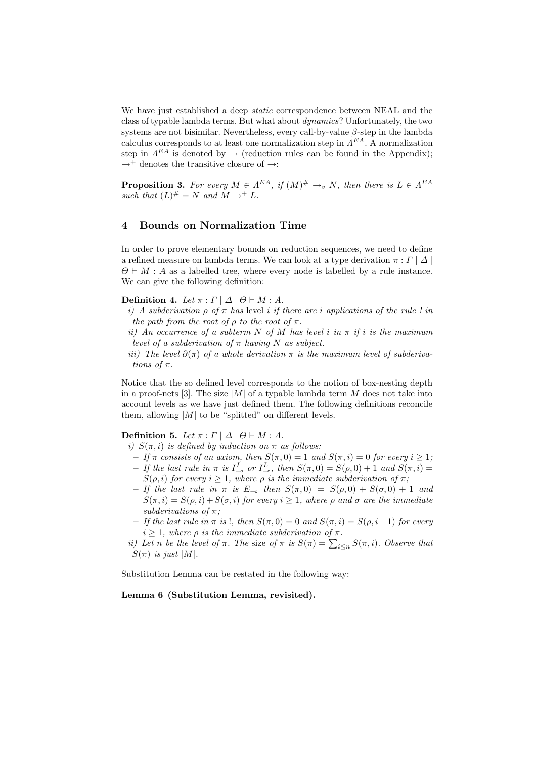We have just established a deep *static* correspondence between NEAL and the class of typable lambda terms. But what about dynamics? Unfortunately, the two systems are not bisimilar. Nevertheless, every call-by-value  $\beta$ -step in the lambda calculus corresponds to at least one normalization step in  $\Lambda^{EA}$ . A normalization step in  $\Lambda^{EA}$  is denoted by  $\to$  (reduction rules can be found in the Appendix);  $\rightarrow$ <sup>+</sup> denotes the transitive closure of  $\rightarrow$ :

**Proposition 3.** For every  $M \in \Lambda^{EA}$ , if  $(M)^{\#} \rightarrow_{v} N$ , then there is  $L \in \Lambda^{EA}$ such that  $(L)^{\#} = N$  and  $M \rightarrow^+ L$ .

# 4 Bounds on Normalization Time

In order to prove elementary bounds on reduction sequences, we need to define a refined measure on lambda terms. We can look at a type derivation  $\pi : \Gamma | \Delta |$  $\Theta \vdash M : A$  as a labelled tree, where every node is labelled by a rule instance. We can give the following definition:

Definition 4. Let  $\pi : \Gamma | \Delta | \Theta \vdash M : A$ .

- i) A subderivation  $\rho$  of  $\pi$  has level i if there are i applications of the rule ! in the path from the root of  $\rho$  to the root of  $\pi$ .
- ii) An occurrence of a subterm N of M has level i in  $\pi$  if i is the maximum level of a subderivation of  $\pi$  having N as subject.
- iii) The level  $\partial(\pi)$  of a whole derivation  $\pi$  is the maximum level of subderivations of π.

Notice that the so defined level corresponds to the notion of box-nesting depth in a proof-nets [3]. The size  $|M|$  of a typable lambda term M does not take into account levels as we have just defined them. The following definitions reconcile them, allowing  $|M|$  to be "splitted" on different levels.

Definition 5. Let  $\pi : \Gamma | \Delta | \Theta \vdash M : A$ .

i)  $S(\pi,i)$  is defined by induction on  $\pi$  as follows:

- If  $\pi$  consists of an axiom, then  $S(\pi, 0) = 1$  and  $S(\pi, i) = 0$  for every  $i \geq 1$ ;
- If the last rule in  $\pi$  is  $I_{-\infty}^I$  or  $I_{-\infty}^L$ , then  $S(\pi, 0) = S(\rho, 0) + 1$  and  $S(\pi, i) =$  $S(\rho, i)$  for every  $i \geq 1$ , where  $\rho$  is the immediate subderivation of  $\pi$ ;
- If the last rule in  $\pi$  is  $E_{-\infty}$  then  $S(\pi, 0) = S(\rho, 0) + S(\sigma, 0) + 1$  and  $S(\pi,i) = S(\rho,i) + S(\sigma,i)$  for every  $i > 1$ , where  $\rho$  and  $\sigma$  are the immediate subderivations of  $\pi$ :
- If the last rule in π is !, then S(π, 0) = 0 and S(π,i) = S(ρ,i−1) for every  $i \geq 1$ , where  $\rho$  is the immediate subderivation of  $\pi$ .
- ii) Let n be the level of  $\pi$ . The size of  $\pi$  is  $S(\pi) = \sum_{i \leq n} S(\pi, i)$ . Observe that  $S(\pi)$  is just |M|.

Substitution Lemma can be restated in the following way:

#### Lemma 6 (Substitution Lemma, revisited).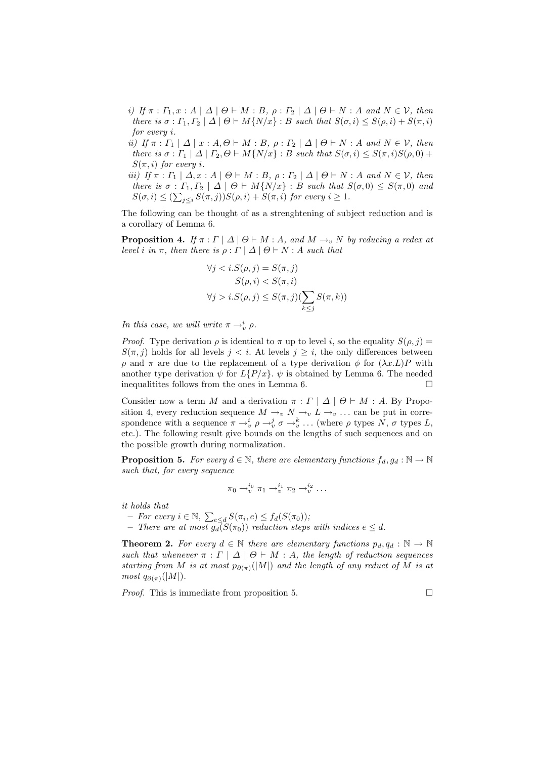- i) If  $\pi : \Gamma_1, x : A \mid \Delta \mid \Theta \vdash M : B, \rho : \Gamma_2 \mid \Delta \mid \Theta \vdash N : A \text{ and } N \in \mathcal{V}, \text{ then}$ there is  $\sigma : \Gamma_1, \Gamma_2 \mid \Delta \mid \Theta \vdash M\{N/x\} : B$  such that  $S(\sigma, i) \leq S(\rho, i) + S(\pi, i)$ for every i.
- ii) If  $\pi : \Gamma_1 | \Delta | x : A, \Theta \vdash M : B, \rho : \Gamma_2 | \Delta | \Theta \vdash N : A \text{ and } N \in \mathcal{V}, \text{ then}$ there is  $\sigma : \Gamma_1 | \Delta | \Gamma_2, \Theta \vdash M\{N/x\} : B$  such that  $S(\sigma, i) \leq S(\pi, i)S(\rho, 0) +$  $S(\pi,i)$  for every i.
- iii) If  $\pi : \Gamma_1 \mid \Delta, x : A \mid \Theta \vdash M : B, \rho : \Gamma_2 \mid \Delta \mid \Theta \vdash N : A \text{ and } N \in \mathcal{V}, \text{ then}$ there is  $\sigma : \Gamma_1, \Gamma_2 \mid \Delta \mid \Theta \vdash M\{N/x\} : B$  such that  $S(\sigma, 0) \leq S(\pi, 0)$  and  $S(\sigma, i) \leq (\sum_{j \leq i} S(\pi, j)) S(\rho, i) + S(\pi, i)$  for every  $i \geq 1$ .

The following can be thought of as a strenghtening of subject reduction and is a corollary of Lemma 6.

**Proposition 4.** If  $\pi : \Gamma | \Delta | \Theta \vdash M : A$ , and  $M \rightarrow_{v} N$  by reducing a redex at level i in  $\pi$ , then there is  $\rho : \Gamma | \Delta | \Theta \vdash N : A$  such that

$$
\forall j < i. S(\rho, j) = S(\pi, j)
$$
  
\n
$$
S(\rho, i) < S(\pi, i)
$$
  
\n
$$
\forall j > i. S(\rho, j) \le S(\pi, j) (\sum_{k \le j} S(\pi, k))
$$

In this case, we will write  $\pi \rightarrow_v^i \rho$ .

*Proof.* Type derivation  $\rho$  is identical to  $\pi$  up to level i, so the equality  $S(\rho, j)$  =  $S(\pi, j)$  holds for all levels  $j < i$ . At levels  $j \geq i$ , the only differences between ρ and π are due to the replacement of a type derivation φ for  $(λx.L)P$  with another type derivation  $\psi$  for  $L\{P/x\}$ .  $\psi$  is obtained by Lemma 6. The needed inequalitites follows from the ones in Lemma 6.  $\Box$ 

Consider now a term M and a derivation  $\pi : \Gamma | \Delta | \Theta \vdash M : A$ . By Proposition 4, every reduction sequence  $M \to_{v} N \to_{v} L \to_{v} \ldots$  can be put in correspondence with a sequence  $\pi \to_v^i \rho \to_v^j \sigma \to_v^k \ldots$  (where  $\rho$  types  $N$ ,  $\sigma$  types  $L$ , etc.). The following result give bounds on the lengths of such sequences and on the possible growth during normalization.

**Proposition 5.** For every  $d \in \mathbb{N}$ , there are elementary functions  $f_d, g_d : \mathbb{N} \to \mathbb{N}$ such that, for every sequence

$$
\pi_0 \rightarrow_v^{i_0} \pi_1 \rightarrow_v^{i_1} \pi_2 \rightarrow_v^{i_2} \dots
$$

it holds that

- $-$  For every  $i \in \mathbb{N}$ ,  $\sum_{e \leq d} S(\pi_i, e) \leq f_d(S(\pi_0))$ ;
- There are at most  $g_d(S(\pi_0))$  reduction steps with indices  $e \leq d$ .

**Theorem 2.** For every  $d \in \mathbb{N}$  there are elementary functions  $p_d, q_d : \mathbb{N} \to \mathbb{N}$ such that whenever  $\pi : \Gamma | \Delta | \Theta \vdash M : A$ , the length of reduction sequences starting from M is at most  $p_{\partial(\pi)}(|M|)$  and the length of any reduct of M is at most  $q_{\partial(\pi)}(|M|)$ .

*Proof.* This is immediate from proposition 5.  $\Box$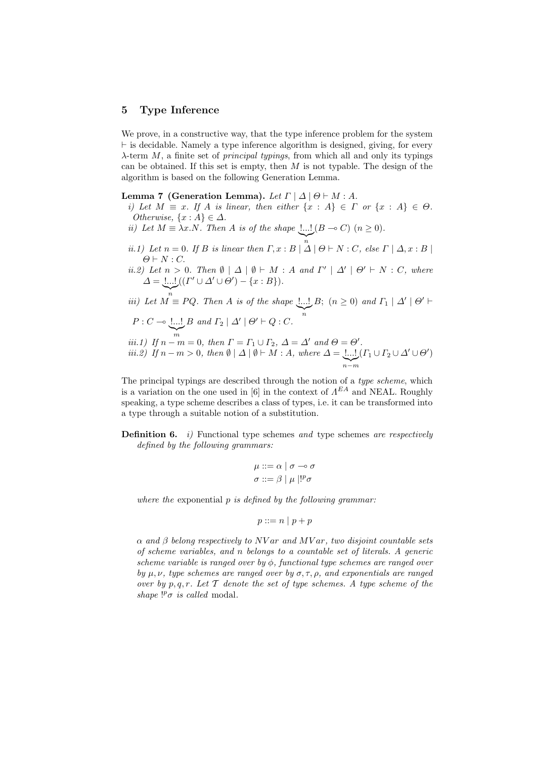#### 5 Type Inference

We prove, in a constructive way, that the type inference problem for the system  $\vdash$  is decidable. Namely a type inference algorithm is designed, giving, for every  $\lambda$ -term M, a finite set of *principal typings*, from which all and only its typings can be obtained. If this set is empty, then  $M$  is not typable. The design of the algorithm is based on the following Generation Lemma.

#### Lemma 7 (Generation Lemma). Let  $\Gamma | \Delta | \Theta \vdash M : A$ .

- i) Let  $M \equiv x$ . If A is linear, then either  $\{x : A\} \in \Gamma$  or  $\{x : A\} \in \Theta$ . Otherwise,  $\{x : A\} \in \Delta$ .
- ii) Let  $M \equiv \lambda x.N.$  Then A is of the shape  $\lfloor ... \rfloor (B \multimap C)$   $(n \ge 0).$
- ii.1) Let  $n = 0$ . If B is linear then  $\Gamma, x : B \mid \Delta \mid \Theta \vdash N : C$ , else  $\Gamma \mid \Delta, x : B \mid$  $\Theta \vdash N : C$ .
- *ii.2)* Let  $n > 0$ . Then  $\emptyset \mid \Delta \mid \emptyset \vdash M : A$  and  $\Gamma' \mid \Delta' \mid \Theta' \vdash N : C$ , where  $\Delta = \underbrace{!...!}_{(l} (l' \cup \Delta' \cup \Theta') - \{x : B\}).$

iii) Let 
$$
M \equiv PQ
$$
. Then A is of the shape  $\underbrace{!...!}_{n} B$ ;  $(n \ge 0)$  and  $\Gamma_1 | \Delta' | \Theta' \vdash P : C \multimap \underbrace{!...!}_{n} B$  and  $\Gamma_2 | \Delta' | \Theta' \vdash Q : C$ .

*iii.1)* If 
$$
n - m = 0
$$
, then  $\Gamma = \Gamma_1 \cup \Gamma_2$ ,  $\Delta = \Delta'$  and  $\Theta = \Theta'$ .  
*iii.2)* If  $n - m > 0$ , then  $\emptyset | \Delta | \emptyset \vdash M : A$ , where  $\Delta = \underbrace{1...!}_{n-m}(\Gamma_1 \cup \Gamma_2 \cup \Delta' \cup \Theta')$ 

The principal typings are described through the notion of a type scheme, which is a variation on the one used in [6] in the context of  $\Lambda^{EA}$  and NEAL. Roughly speaking, a type scheme describes a class of types, i.e. it can be transformed into a type through a suitable notion of a substitution.

**Definition 6.** i) Functional type schemes and type schemes are respectively defined by the following grammars:

$$
\mu ::= \alpha \mid \sigma \multimap \sigma
$$

$$
\sigma ::= \beta \mid \mu \mid !^{p} \sigma
$$

where the exponential  $p$  is defined by the following grammar:

$$
p ::= n \mid p + p
$$

 $\alpha$  and  $\beta$  belong respectively to NV ar and MV ar, two disjoint countable sets of scheme variables, and n belongs to a countable set of literals. A generic scheme variable is ranged over by  $\phi$ , functional type schemes are ranged over by  $\mu, \nu$ , type schemes are ranged over by  $\sigma, \tau, \rho$ , and exponentials are ranged over by p, q, r. Let  $\mathcal T$  denote the set of type schemes. A type scheme of the shape  $!^{p}\sigma$  is called modal.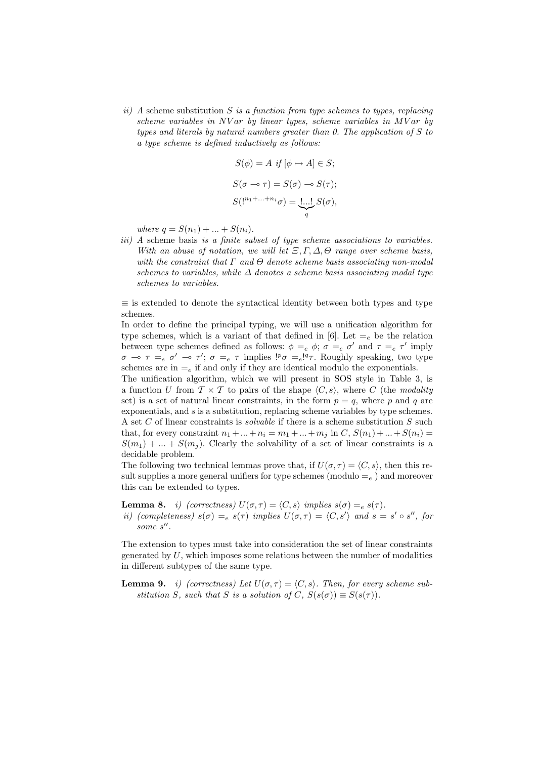ii) A scheme substitution S is a function from type schemes to types, replacing scheme variables in NV ar by linear types, scheme variables in MV ar by types and literals by natural numbers greater than  $0$ . The application of S to a type scheme is defined inductively as follows:

$$
S(\phi) = A \text{ if } [\phi \mapsto A] \in S;
$$
  

$$
S(\sigma \multimap \tau) = S(\sigma) \multimap S(\tau);
$$
  

$$
S(!^{n_1 + \dots + n_i} \sigma) = \underbrace{!,..!}_{q} S(\sigma),
$$

where  $q = S(n_1) + ... + S(n_i)$ .

iii) A scheme basis is a finite subset of type scheme associations to variables. With an abuse of notation, we will let  $\Xi, \Gamma, \Delta, \Theta$  range over scheme basis, with the constraint that  $\Gamma$  and  $\Theta$  denote scheme basis associating non-modal schemes to variables, while  $\Delta$  denotes a scheme basis associating modal type schemes to variables.

 $\equiv$  is extended to denote the syntactical identity between both types and type schemes.

In order to define the principal typing, we will use a unification algorithm for type schemes, which is a variant of that defined in [6]. Let  $=$ <sub>e</sub> be the relation between type schemes defined as follows:  $\phi =_e \phi$ ;  $\sigma =_e \sigma'$  and  $\tau =_e \tau'$  imply  $\sigma \to \tau =_e \sigma' \to \tau'; \sigma =_e \tau$  implies  ${}^{1p}\sigma =_e {}^{1q}\tau$ . Roughly speaking, two type schemes are in  $=_e$  if and only if they are identical modulo the exponentials.

The unification algorithm, which we will present in SOS style in Table 3, is a function U from  $\mathcal{T} \times \mathcal{T}$  to pairs of the shape  $\langle C, s \rangle$ , where C (the modality set) is a set of natural linear constraints, in the form  $p = q$ , where p and q are exponentials, and s is a substitution, replacing scheme variables by type schemes. A set C of linear constraints is *solvable* if there is a scheme substitution  $S$  such that, for every constraint  $n_1 + ... + n_i = m_1 + ... + m_j$  in  $C, S(n_1) + ... + S(n_i) =$  $S(m_1) + ... + S(m_i)$ . Clearly the solvability of a set of linear constraints is a decidable problem.

The following two technical lemmas prove that, if  $U(\sigma, \tau) = \langle C, s \rangle$ , then this result supplies a more general unifiers for type schemes (modulo  $=_e$ ) and moreover this can be extended to types.

**Lemma 8.** *i)* (correctness)  $U(\sigma, \tau) = \langle C, s \rangle$  implies  $s(\sigma) = e^{s(\tau)}$ . ii) (completeness)  $s(\sigma) =_e s(\tau)$  implies  $U(\sigma, \tau) = \langle C, s' \rangle$  and  $s = s' \circ s''$ , for some  $s$ ".

The extension to types must take into consideration the set of linear constraints generated by  $U$ , which imposes some relations between the number of modalities in different subtypes of the same type.

**Lemma 9.** *i)* (correctness) Let  $U(\sigma, \tau) = \langle C, s \rangle$ . Then, for every scheme substitution S, such that S is a solution of C,  $S(s(\sigma)) \equiv S(s(\tau))$ .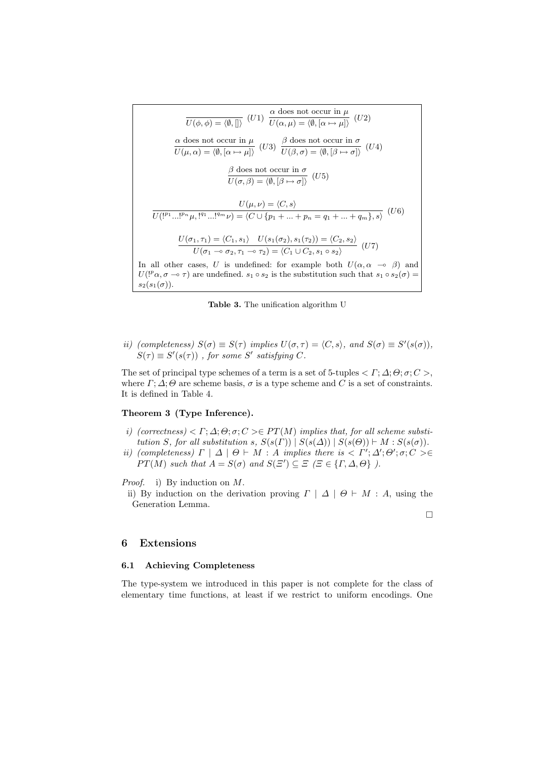$$
\overline{U(\phi,\phi)} = \langle \emptyset, [] \rangle \quad (U1) \quad \frac{\alpha \text{ does not occur in } \mu}{U(\alpha,\mu) = \langle \emptyset, [\alpha \mapsto \mu] \rangle} \quad (U2)
$$
\n
$$
\frac{\alpha \text{ does not occur in } \mu}{U(\mu,\alpha) = \langle \emptyset, [\alpha \mapsto \mu] \rangle} \quad (U3) \quad \frac{\beta \text{ does not occur in } \sigma}{U(\beta,\sigma) = \langle \emptyset, [\beta \mapsto \sigma] \rangle} \quad (U4)
$$
\n
$$
\frac{\beta \text{ does not occur in } \sigma}{U(\sigma,\beta) = \langle \emptyset, [\beta \mapsto \sigma] \rangle} \quad (U5)
$$
\n
$$
\overline{U(I^{p_1}...I^{p_n}\mu, I^{q_1}...I^{q_m}\nu)} = \langle C \cup \{p_1 + ... + p_n = q_1 + ... + q_m\}, s \rangle} \quad (U6)
$$
\n
$$
\frac{U(\sigma_1, \tau_1) = \langle C_1, s_1 \rangle}{U(\sigma_1 \multimap \sigma_2, \tau_1 \multimap \tau_2) = \langle C_1 \cup C_2, s_1 \circ s_2 \rangle} \quad (U7)
$$
\nIn all other cases,  $U$  is undefined: for example both  $U(\alpha, \alpha \multimap \beta)$  and  $U(I^p\alpha, \sigma \multimap \tau)$  are undefined.  $s_1 \circ s_2$  is the substitution such that  $s_1 \circ s_2(\sigma) = s_2(s_1(\sigma))$ .

Table 3. The unification algorithm U

ii) (completeness)  $S(\sigma) \equiv S(\tau)$  implies  $U(\sigma, \tau) = \langle C, s \rangle$ , and  $S(\sigma) \equiv S'(s(\sigma))$ ,  $S(\tau) \equiv S'(s(\tau))$ , for some S' satisfying C.

The set of principal type schemes of a term is a set of 5-tuples  $\langle \Gamma; \Delta; \Theta; \sigma; C \rangle$ , where  $\Gamma$ ;  $\Delta$ ;  $\Theta$  are scheme basis,  $\sigma$  is a type scheme and C is a set of constraints. It is defined in Table 4.

#### Theorem 3 (Type Inference).

- i) (correctness)  $\langle \Gamma; \Delta; \Theta; \sigma; C \rangle \in PT(M)$  implies that, for all scheme substitution S, for all substitution s,  $S(s(\Gamma)) | S(s(\Delta)) | S(s(\Theta)) \vdash M : S(s(\sigma))$ .
- ii) (completeness)  $\Gamma | \Delta | \Theta \vdash M : A$  implies there is  $\langle \Gamma'; \Delta'; \Theta'; \sigma; C \rangle \in$  $PT(M)$  such that  $A = S(\sigma)$  and  $S(\Xi') \subseteq \Xi$  ( $\Xi \in \{\Gamma, \Delta, \Theta\}$ ).

Proof. i) By induction on M.

ii) By induction on the derivation proving  $\Gamma \mid \Delta \mid \Theta \vdash M : A$ , using the Generation Lemma.

 $\Box$ 

#### 6 Extensions

#### 6.1 Achieving Completeness

The type-system we introduced in this paper is not complete for the class of elementary time functions, at least if we restrict to uniform encodings. One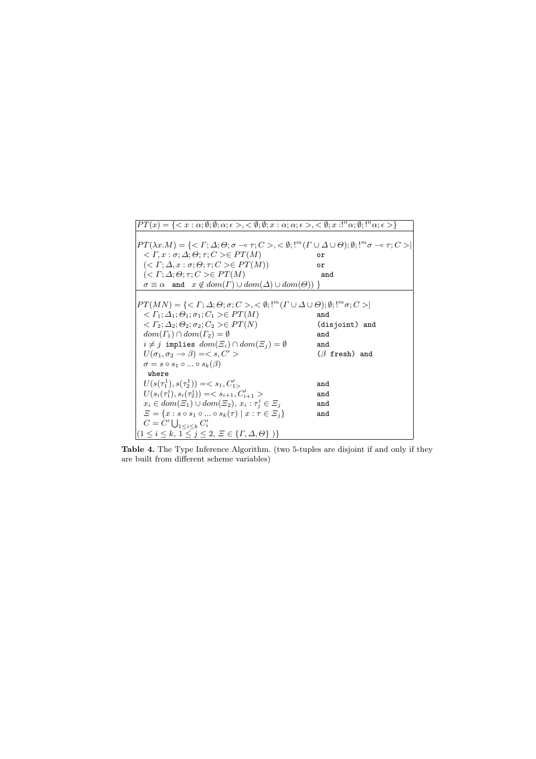

Table 4. The Type Inference Algorithm. (two 5-tuples are disjoint if and only if they are built from different scheme variables)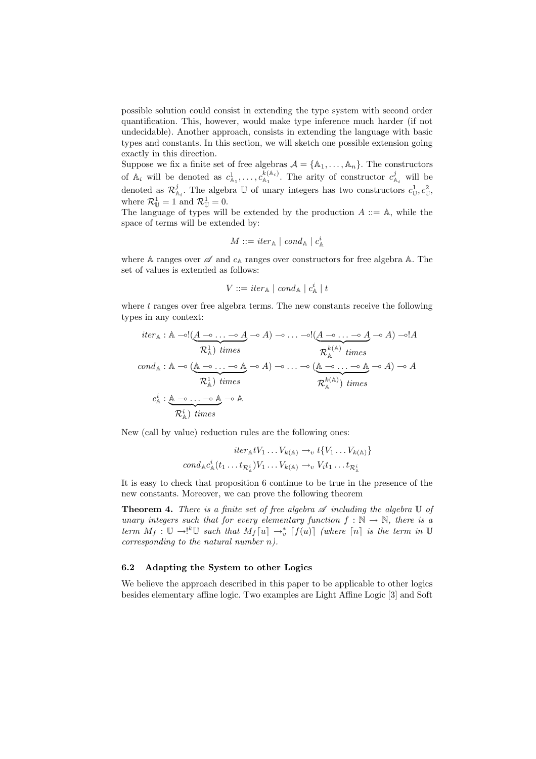possible solution could consist in extending the type system with second order quantification. This, however, would make type inference much harder (if not undecidable). Another approach, consists in extending the language with basic types and constants. In this section, we will sketch one possible extension going exactly in this direction.

Suppose we fix a finite set of free algebras  $A = \{A_1, \ldots, A_n\}$ . The constructors of  $\mathbb{A}_i$  will be denoted as  $c^1_{\mathbb{A}_1}, \ldots, c^{k(\mathbb{A}_i)}_{\mathbb{A}_1}$  $\kappa_{A_1}^{(A_i)}$ . The arity of constructor  $c_{A_i}^j$  will be denoted as  $\mathcal{R}_{\mathbb{A}_i}^j$ . The algebra  $\mathbb U$  of unary integers has two constructors  $c^1_{\mathbb U}, c^2_{\mathbb U}$ , where  $\mathcal{R}_{\mathbb{U}}^1 = 1$  and  $\mathcal{R}_{\mathbb{U}}^1 = 0$ .

The language of types will be extended by the production  $A ::= A$ , while the space of terms will be extended by:

$$
M ::= iter_{\mathbb{A}} \mid cond_{\mathbb{A}} \mid c_{\mathbb{A}}^i
$$

where A ranges over  $\mathscr A$  and  $c_{\mathbb A}$  ranges over constructors for free algebra A. The set of values is extended as follows:

$$
V ::= iter_{\mathbb{A}} \mid cond_{\mathbb{A}} \mid c_{\mathbb{A}}^{i} \mid t
$$

where  $t$  ranges over free algebra terms. The new constants receive the following types in any context:

$$
iter_{\mathbb{A}} : \mathbb{A} \rightarrow (\underbrace{A \rightarrow \dots \rightarrow A}_{\mathcal{R}_{\mathbb{A}}^{1}} \rightarrow A) \rightarrow \dots \rightarrow (\underbrace{A \rightarrow \dots \rightarrow A}_{\mathcal{R}_{\mathbb{A}}^{k(\mathbb{A})}} \rightarrow A) \rightarrow 1A
$$
\n
$$
cond_{\mathbb{A}} : \mathbb{A} \rightarrow (\underbrace{\mathbb{A} \rightarrow \dots \rightarrow \mathbb{A}}_{\mathcal{R}_{\mathbb{A}}^{1}} \rightarrow A) \rightarrow \dots \rightarrow (\underbrace{\mathbb{A} \rightarrow \dots \rightarrow \mathbb{A}}_{\mathcal{R}_{\mathbb{A}}^{k(\mathbb{A})}} \rightarrow A) \rightarrow A
$$
\n
$$
c_{\mathbb{A}}^{i} : \underbrace{\mathbb{A} \rightarrow \dots \rightarrow \mathbb{A}}_{\mathcal{R}_{\mathbb{A}}^{k}} \rightarrow \mathbb{A}
$$
\n
$$
c_{\mathbb{A}}^{i} : \underbrace{\mathbb{A} \rightarrow \dots \rightarrow \mathbb{A}}_{\mathcal{R}_{\mathbb{A}}^{k}} \rightarrow \mathbb{A}
$$

New (call by value) reduction rules are the following ones:

$$
iter_{\mathbb{A}} tV_1 \dots V_{k(\mathbb{A})} \to_{v} t\{V_1 \dots V_{k(\mathbb{A})}\}
$$

$$
cond_{\mathbb{A}} c_{\mathbb{A}}^{i}(t_1 \dots t_{\mathcal{R}_{\mathbb{A}}^{i}}) V_1 \dots V_{k(\mathbb{A})} \to_{v} V_i t_1 \dots t_{\mathcal{R}_{\mathbb{A}}^{i}}
$$

It is easy to check that proposition 6 continue to be true in the presence of the new constants. Moreover, we can prove the following theorem

**Theorem 4.** There is a finite set of free algebra  $\mathscr A$  including the algebra  $\mathbb U$  of unary integers such that for every elementary function  $f : \mathbb{N} \to \mathbb{N}$ , there is a term  $M_f: \mathbb{U} \to \ell^k \mathbb{U}$  such that  $M_f[u] \to_v^* [f(u)]$  (where  $[n]$  is the term in  $\mathbb{U}$ corresponding to the natural number n).

#### 6.2 Adapting the System to other Logics

We believe the approach described in this paper to be applicable to other logics besides elementary affine logic. Two examples are Light Affine Logic [3] and Soft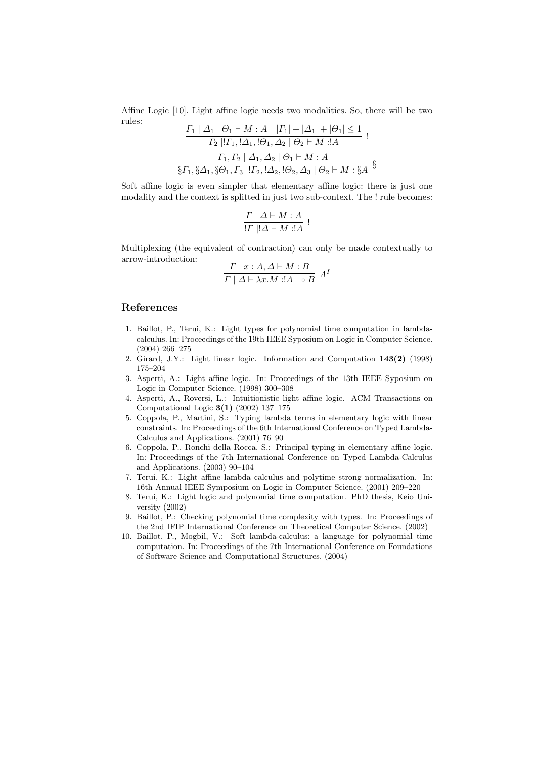Affine Logic [10]. Light affine logic needs two modalities. So, there will be two rules: Γ<sup>1</sup> | ∆<sup>1</sup> | Θ<sup>1</sup> ` M : A |Γ1| + |∆1| + |Θ1| ≤ 1

$$
\frac{I_1 | \Delta_1 | \Theta_1 \vdash M : A \quad |I_1| + |\Delta_1| + |\Theta_1| \le 1}{\Gamma_2 |! \Gamma_1, ! \Delta_1, ! \Theta_1, \Delta_2 | \Theta_2 \vdash M : A}
$$
\n
$$
\frac{\Gamma_1, \Gamma_2 | \Delta_1, \Delta_2 | \Theta_1 \vdash M : A}{\S \Gamma_1, \S \Delta_1, \S \Theta_1, \Gamma_3 |! \Gamma_2, ! \Delta_2, ! \Theta_2, \Delta_3 | \Theta_2 \vdash M : \S A}
$$

Soft affine logic is even simpler that elementary affine logic: there is just one modality and the context is splitted in just two sub-context. The ! rule becomes:

$$
\frac{\Gamma \mid \Delta \vdash M : A}{!\Gamma \mid !\Delta \vdash M : !A} :
$$

Multiplexing (the equivalent of contraction) can only be made contextually to arrow-introduction:

$$
\frac{\Gamma \mid x:A,\Delta \vdash M:B}{\Gamma \mid \Delta \vdash \lambda x.M \exists A \multimap B} A^I
$$

#### References

- 1. Baillot, P., Terui, K.: Light types for polynomial time computation in lambdacalculus. In: Proceedings of the 19th IEEE Syposium on Logic in Computer Science. (2004) 266–275
- 2. Girard, J.Y.: Light linear logic. Information and Computation 143(2) (1998) 175–204
- 3. Asperti, A.: Light affine logic. In: Proceedings of the 13th IEEE Syposium on Logic in Computer Science. (1998) 300–308
- 4. Asperti, A., Roversi, L.: Intuitionistic light affine logic. ACM Transactions on Computational Logic 3(1) (2002) 137–175
- 5. Coppola, P., Martini, S.: Typing lambda terms in elementary logic with linear constraints. In: Proceedings of the 6th International Conference on Typed Lambda-Calculus and Applications. (2001) 76–90
- 6. Coppola, P., Ronchi della Rocca, S.: Principal typing in elementary affine logic. In: Proceedings of the 7th International Conference on Typed Lambda-Calculus and Applications. (2003) 90–104
- 7. Terui, K.: Light affine lambda calculus and polytime strong normalization. In: 16th Annual IEEE Symposium on Logic in Computer Science. (2001) 209–220
- 8. Terui, K.: Light logic and polynomial time computation. PhD thesis, Keio University (2002)
- 9. Baillot, P.: Checking polynomial time complexity with types. In: Proceedings of the 2nd IFIP International Conference on Theoretical Computer Science. (2002)
- 10. Baillot, P., Mogbil, V.: Soft lambda-calculus: a language for polynomial time computation. In: Proceedings of the 7th International Conference on Foundations of Software Science and Computational Structures. (2004)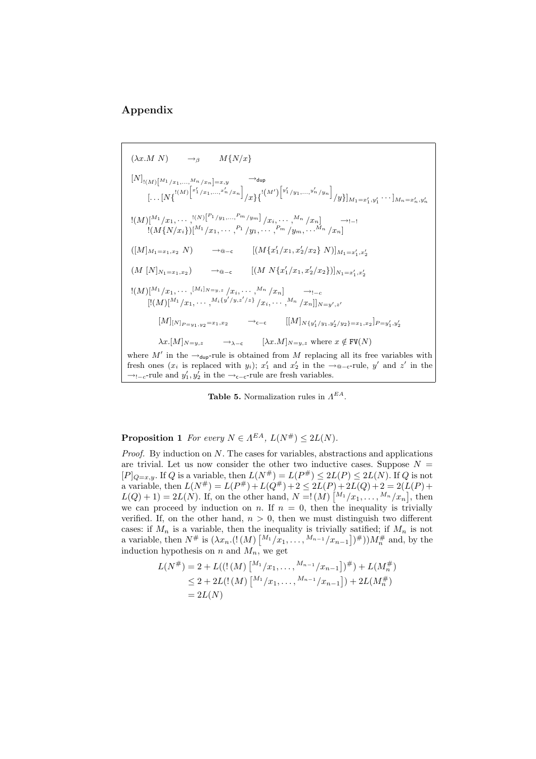# Appendix

$$
(\lambda x.M N) \rightarrow_{\beta} M\{N/x\}
$$
\n
$$
[N]_{[(M)[M_1/x_1,...,M_n/x_n]=x,y} \rightarrow_{\text{dup}}
$$
\n
$$
[... [N\{[(M)]^{[x_1/x_1,...,x_n'/x_n]}/x\}^{\{[(M')[y_1'/y_1,...,y_n'/y_n]}/y\}]_{M_1=x'_1,y'_1} \cdots]_{M_n=x'_n,y'_n}
$$
\n
$$
[(M)[M_1/x_1,...,[N]^{[P_1/y_1,...,P_m/y_m]}/x_i,...,M_n/x_n] \rightarrow_{i-1}
$$
\n
$$
[(M\{N/x_i\})[M_1/x_1,...,P_1/y_1,...,P_m/y_m,...M_n/x_n]
$$
\n
$$
([M]_{M_1=x_1,x_2} N) \rightarrow_{\text{@-}c} [(M\{x'_1/x_1,x'_2/x_2\} N)]_{M_1=x'_1,x'_2}
$$
\n
$$
(M [N]_{N_1=x_1,x_2}) \rightarrow_{\text{@-}c} [(M N\{x'_1/x_1,x'_2/x_2\})]_{N_1=x'_1,x'_2}
$$
\n
$$
[(M)[M_1/x_1,...,[M_i]_{N=y,z}/x_i,...,M_n/x_n] \rightarrow_{i-c}
$$
\n
$$
[[(M)]^{[M_1/x_1,...,M_i\{y'/y,z'/z\}}/x_i,...,M_n/x_n]]_{N=y',z'}
$$
\n
$$
[M]_{[N]_{P=y_1,y_2}=x_1,x_2} \rightarrow_{c-c} [(M]_{N\{y'_1/y_1,y'_2/y_2\}=x_1,x_2]_{P=y'_1,y'_2}
$$
\n
$$
\lambda x.[M]_{N=y,z} \rightarrow_{\lambda-c} [\lambda x.M]_{N=y,z} \text{ where } x \notin \text{FV}(N)
$$
\nwhere  $M'$  in the  $\rightarrow_{\text{dup}}$ -rule is obtained from  $M$  replacing all its free variables with

fresh ones (x<sub>i</sub> is replaced with y<sub>i</sub>); x'<sub>1</sub> and x'<sub>2</sub> in the →<sub>@-c</sub>-rule, y' and z' in the  $\rightarrow_{!-c}$ -rule and  $y'_1, y'_2$  in the  $\rightarrow_{c-c}$ -rule are fresh variables.

**Table 5.** Normalization rules in  $\Lambda^{EA}$ .

**Proposition 1** For every  $N \in \Lambda^{EA}$ ,  $L(N^{\#}) \leq 2L(N)$ .

*Proof.* By induction on  $N$ . The cases for variables, abstractions and applications are trivial. Let us now consider the other two inductive cases. Suppose  $N =$  $[P]_{Q=x,y}$ . If Q is a variable, then  $L(N^{\#}) = L(P^{\#}) \leq 2L(P) \leq 2L(N)$ . If Q is not a variable, then  $L(N^{\#}) = L(P^{\#}) + L(Q^{\#}) + 2 \leq 2L(P) + 2L(Q) + 2 = 2(L(P) +$  $L(Q) + 1) = 2L(N)$ . If, on the other hand,  $N = 1(M) {M_1 / x_1, ..., M_n / x_n}$ , then we can proceed by induction on n. If  $n = 0$ , then the inequality is trivially verified. If, on the other hand,  $n > 0$ , then we must distinguish two different cases: if  $M_n$  is a variable, then the inequality is trivially satified; if  $M_n$  is not a variable, then  $N^{\#}$  is  $(\lambda x_n. (!(M) [M_1/x_1, \ldots, M_{n-1}/x_{n-1}])^{\#}))M_n^{\#}$  and, by the induction hypothesis on n and  $M_n$ , we get

$$
L(N^{\#}) = 2 + L(((M) \binom{M_1}{x_1}, \dots, \binom{M_{n-1}}{x_{n-1}})^{\#}) + L(M_n^{\#})
$$
  
\n
$$
\leq 2 + 2L(((M) \binom{M_1}{x_1}, \dots, \binom{M_{n-1}}{x_{n-1}}) + 2L(M_n^{\#})
$$
  
\n
$$
= 2L(N)
$$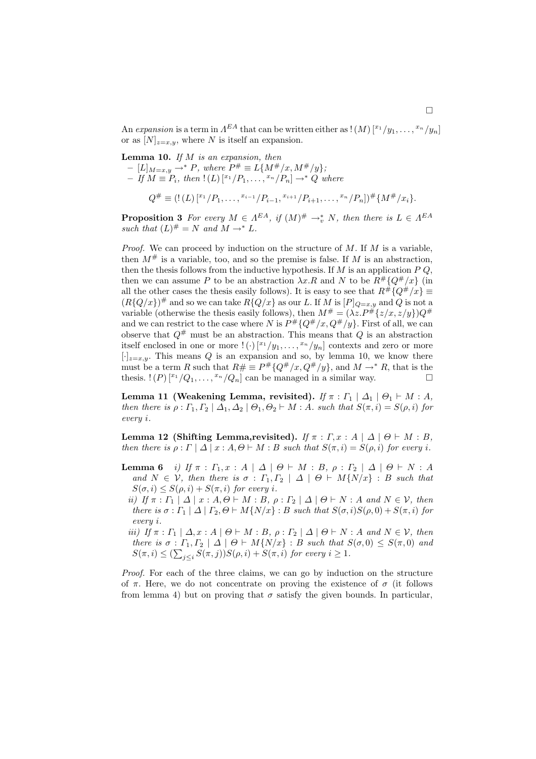An expansion is a term in  $A^{EA}$  that can be written either as  $\mathcal{N}([x_1/y_1, \ldots, x_n/y_n])$ or as  $[N]_{z=x,y}$ , where N is itself an expansion.

**Lemma 10.** If  $M$  is an expansion, then  $- [L]_{M=x,y}$  → \* P, where  $P^# ≡ L{M^# / x, M^# / y}$ ;  $-If M \equiv P_i$ , then  $!(L)$   $[^{x_1}/P_1, \ldots, ^{x_n}/P_n] \rightarrow^* Q$  where

$$
Q^{\#} \equiv (!(L) \, [^{x_1}/P_1, \ldots, ^{x_{i-1}}/P_{i-1}, ^{x_{i+1}}/P_{i+1}, \ldots, ^{x_n}/P_n])^{\#} \{M^{\#}/x_i\}.
$$

**Proposition 3** For every  $M \in \Lambda^{EA}$ , if  $(M)^{\#} \rightarrow_{v}^{*} N$ , then there is  $L \in \Lambda^{EA}$ such that  $(L)^{\#} = N$  and  $M \rightarrow^* L$ .

*Proof.* We can proceed by induction on the structure of  $M$ . If  $M$  is a variable, then  $M^{\#}$  is a variable, too, and so the premise is false. If M is an abstraction, then the thesis follows from the inductive hypothesis. If  $M$  is an application  $P$   $Q$ , then we can assume P to be an abstraction  $\lambda x.R$  and N to be  $R^{\#}{Q^{\#}/x}$  (in all the other cases the thesis easily follows). It is easy to see that  $R^{\#}\{Q^{\#}/x\}$  $(R{Q/x})^{\#}$  and so we can take  $R{Q/x}$  as our L. If M is  $[P]_{Q=x,y}$  and Q is not a variable (otherwise the thesis easily follows), then  $M^{\#} = (\lambda z.P^{\#} \{z/x, z/y\})Q^{\#}$ and we can restrict to the case where N is  $P^{\#}{Q^{\#}}/x, Q^{\#}/y\}$ . First of all, we can observe that  $Q^{\#}$  must be an abstraction. This means that Q is an abstraction itself enclosed in one or more  $!(.) [^{x_1}/y_1, \ldots, ^{x_n}/y_n]$  contexts and zero or more  $[\cdot]_{z=x,y}$ . This means Q is an expansion and so, by lemma 10, we know there must be a term R such that  $R# \equiv P^{\#}\{Q^{\#}/x, Q^{\#}/y\}$ , and  $M \to^* R$ , that is the thesis.  $!(P)^{x_1}/Q_1, \ldots, x_n/Q_n]$  can be managed in a similar way.

Lemma 11 (Weakening Lemma, revisited). If  $\pi : \Gamma_1 \mid \Delta_1 \mid \Theta_1 \vdash M : A$ , then there is  $\rho: \Gamma_1, \Gamma_2 \mid \Delta_1, \Delta_2 \mid \Theta_1, \Theta_2 \vdash M : A$ . such that  $S(\pi, i) = S(\rho, i)$  for every i.

Lemma 12 (Shifting Lemma,revisited). If  $\pi : \Gamma, x : A \mid \Delta \mid \Theta \vdash M : B$ , then there is  $\rho : \Gamma | \Delta | x : A, \Theta \vdash M : B$  such that  $S(\pi, i) = S(\rho, i)$  for every i.

- **Lemma 6** i) If  $\pi$  :  $\Gamma_1, x : A \mid \Delta \mid \Theta \vdash M : B, \rho : \Gamma_2 \mid \Delta \mid \Theta \vdash N : A$ and  $N \in \mathcal{V}$ , then there is  $\sigma : \Gamma_1, \Gamma_2 \mid \Delta \mid \Theta \vdash M\{N/x\} : B$  such that  $S(\sigma, i) \leq S(\rho, i) + S(\pi, i)$  for every i.
	- ii) If  $\pi : \Gamma_1 | \Delta | x : A, \Theta \vdash M : B, \rho : \Gamma_2 | \Delta | \Theta \vdash N : A \text{ and } N \in \mathcal{V}, \text{ then}$ there is  $\sigma : \Gamma_1 | \Delta | \Gamma_2, \Theta \vdash M\{N/x\} : B$  such that  $S(\sigma, i)S(\rho, 0) + S(\pi, i)$  for every i.
	- iii) If  $\pi : \Gamma_1 \mid \Delta, x : A \mid \Theta \vdash M : B, \rho : \Gamma_2 \mid \Delta \mid \Theta \vdash N : A \text{ and } N \in \mathcal{V}$ , then there is  $\sigma : \Gamma_1, \Gamma_2 \mid \Delta \mid \Theta \vdash M\{N/x\} : B$  such that  $S(\sigma, 0) \leq S(\pi, 0)$  and  $S(\pi,i) \leq (\sum_{j\leq i} S(\pi,j))S(\rho,i) + S(\pi,i)$  for every  $i \geq 1$ .

Proof. For each of the three claims, we can go by induction on the structure of  $\pi$ . Here, we do not concentrate on proving the existence of  $\sigma$  (it follows from lemma 4) but on proving that  $\sigma$  satisfy the given bounds. In particular,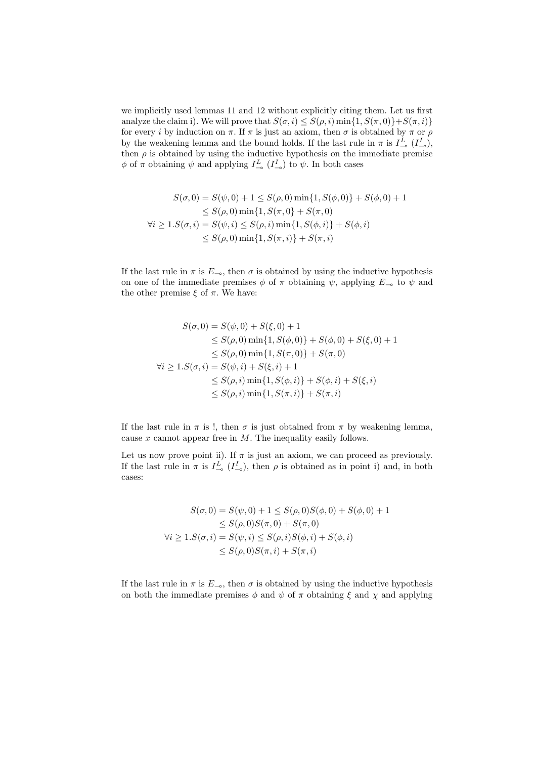we implicitly used lemmas 11 and 12 without explicitly citing them. Let us first analyze the claim i). We will prove that  $S(\sigma, i) \leq S(\rho, i) \min\{1, S(\pi, 0)\} + S(\pi, i)\}$ for every i by induction on  $\pi$ . If  $\pi$  is just an axiom, then  $\sigma$  is obtained by  $\pi$  or  $\rho$ by the weakening lemma and the bound holds. If the last rule in  $\pi$  is  $I_{-\infty}^L(I_{-\infty}^I)$ , then  $\rho$  is obtained by using the inductive hypothesis on the immediate premise  $\phi$  of  $\pi$  obtaining  $\psi$  and applying  $I_{-\infty}^L(I_{-\infty}^I)$  to  $\psi$ . In both cases

$$
S(\sigma, 0) = S(\psi, 0) + 1 \le S(\rho, 0) \min\{1, S(\phi, 0)\} + S(\phi, 0) + 1
$$
  
\n
$$
\le S(\rho, 0) \min\{1, S(\pi, 0) + S(\pi, 0)
$$
  
\n
$$
\forall i \ge 1. S(\sigma, i) = S(\psi, i) \le S(\rho, i) \min\{1, S(\phi, i)\} + S(\phi, i)
$$
  
\n
$$
\le S(\rho, 0) \min\{1, S(\pi, i)\} + S(\pi, i)
$$

If the last rule in  $\pi$  is  $E_{-\infty}$ , then  $\sigma$  is obtained by using the inductive hypothesis on one of the immediate premises  $\phi$  of  $\pi$  obtaining  $\psi$ , applying  $E_{-\infty}$  to  $\psi$  and the other premise  $\xi$  of  $\pi$ . We have:

$$
S(\sigma, 0) = S(\psi, 0) + S(\xi, 0) + 1
$$
  
\n
$$
\leq S(\rho, 0) \min\{1, S(\phi, 0)\} + S(\phi, 0) + S(\xi, 0) + 1
$$
  
\n
$$
\leq S(\rho, 0) \min\{1, S(\pi, 0)\} + S(\pi, 0)
$$
  
\n
$$
\forall i \geq 1. S(\sigma, i) = S(\psi, i) + S(\xi, i) + 1
$$
  
\n
$$
\leq S(\rho, i) \min\{1, S(\phi, i)\} + S(\phi, i) + S(\xi, i)
$$
  
\n
$$
\leq S(\rho, i) \min\{1, S(\pi, i)\} + S(\pi, i)
$$

If the last rule in  $\pi$  is !, then  $\sigma$  is just obtained from  $\pi$  by weakening lemma, cause  $x$  cannot appear free in  $M$ . The inequality easily follows.

Let us now prove point ii). If  $\pi$  is just an axiom, we can proceed as previously. If the last rule in  $\pi$  is  $I_{\infty}^L$  ( $I_{\infty}^I$ ), then  $\rho$  is obtained as in point i) and, in both cases:

$$
S(\sigma, 0) = S(\psi, 0) + 1 \le S(\rho, 0)S(\phi, 0) + S(\phi, 0) + 1
$$
  
\n
$$
\le S(\rho, 0)S(\pi, 0) + S(\pi, 0)
$$
  
\n
$$
\forall i \ge 1. S(\sigma, i) = S(\psi, i) \le S(\rho, i)S(\phi, i) + S(\phi, i)
$$
  
\n
$$
\le S(\rho, 0)S(\pi, i) + S(\pi, i)
$$

If the last rule in  $\pi$  is  $E_{-\infty}$ , then  $\sigma$  is obtained by using the inductive hypothesis on both the immediate premises  $\phi$  and  $\psi$  of  $\pi$  obtaining  $\xi$  and  $\chi$  and applying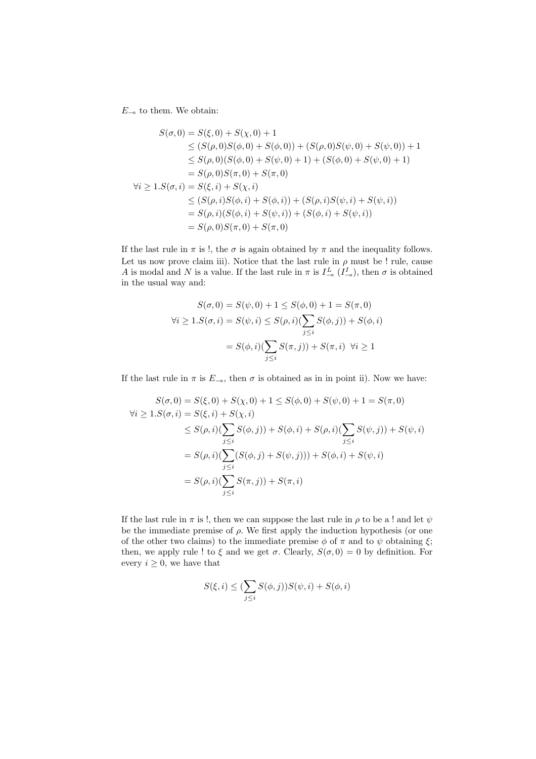$E_{-\infty}$  to them. We obtain:

$$
S(\sigma, 0) = S(\xi, 0) + S(\chi, 0) + 1
$$
  
\n
$$
\leq (S(\rho, 0)S(\phi, 0) + S(\phi, 0)) + (S(\rho, 0)S(\psi, 0) + S(\psi, 0)) + 1
$$
  
\n
$$
\leq S(\rho, 0)(S(\phi, 0) + S(\psi, 0) + 1) + (S(\phi, 0) + S(\psi, 0) + 1)
$$
  
\n
$$
= S(\rho, 0)S(\pi, 0) + S(\pi, 0)
$$
  
\n
$$
\forall i \geq 1. S(\sigma, i) = S(\xi, i) + S(\chi, i)
$$
  
\n
$$
\leq (S(\rho, i)S(\phi, i) + S(\phi, i)) + (S(\rho, i)S(\psi, i) + S(\psi, i))
$$
  
\n
$$
= S(\rho, i)(S(\phi, i) + S(\psi, i)) + (S(\phi, i) + S(\psi, i))
$$
  
\n
$$
= S(\rho, 0)S(\pi, 0) + S(\pi, 0)
$$

If the last rule in  $\pi$  is !, the  $\sigma$  is again obtained by  $\pi$  and the inequality follows. Let us now prove claim iii). Notice that the last rule in  $\rho$  must be ! rule, cause A is modal and N is a value. If the last rule in  $\pi$  is  $I_{-\infty}^L(I_{-\infty}^I)$ , then  $\sigma$  is obtained in the usual way and:

$$
S(\sigma, 0) = S(\psi, 0) + 1 \le S(\phi, 0) + 1 = S(\pi, 0)
$$
  

$$
\forall i \ge 1. S(\sigma, i) = S(\psi, i) \le S(\rho, i) (\sum_{j \le i} S(\phi, j)) + S(\phi, i)
$$
  

$$
= S(\phi, i) (\sum_{j \le i} S(\pi, j)) + S(\pi, i) \quad \forall i \ge 1
$$

If the last rule in  $\pi$  is  $E_{-6}$ , then  $\sigma$  is obtained as in in point ii). Now we have:

$$
S(\sigma, 0) = S(\xi, 0) + S(\chi, 0) + 1 \le S(\phi, 0) + S(\psi, 0) + 1 = S(\pi, 0)
$$
  
\n
$$
\forall i \ge 1. S(\sigma, i) = S(\xi, i) + S(\chi, i)
$$
  
\n
$$
\le S(\rho, i)(\sum_{j \le i} S(\phi, j)) + S(\phi, i) + S(\rho, i)(\sum_{j \le i} S(\psi, j)) + S(\psi, i)
$$
  
\n
$$
= S(\rho, i)(\sum_{j \le i} (S(\phi, j) + S(\psi, j))) + S(\phi, i) + S(\psi, i)
$$
  
\n
$$
= S(\rho, i)(\sum_{j \le i} S(\pi, j)) + S(\pi, i)
$$

If the last rule in  $\pi$  is !, then we can suppose the last rule in  $\rho$  to be a ! and let  $\psi$ be the immediate premise of  $\rho$ . We first apply the induction hypothesis (or one of the other two claims) to the immediate premise  $\phi$  of  $\pi$  and to  $\psi$  obtaining  $\xi$ ; then, we apply rule ! to  $\xi$  and we get  $\sigma$ . Clearly,  $S(\sigma, 0) = 0$  by definition. For every  $i \geq 0$ , we have that

$$
S(\xi, i) \leq \left(\sum_{j \leq i} S(\phi, j)\right) S(\psi, i) + S(\phi, i)
$$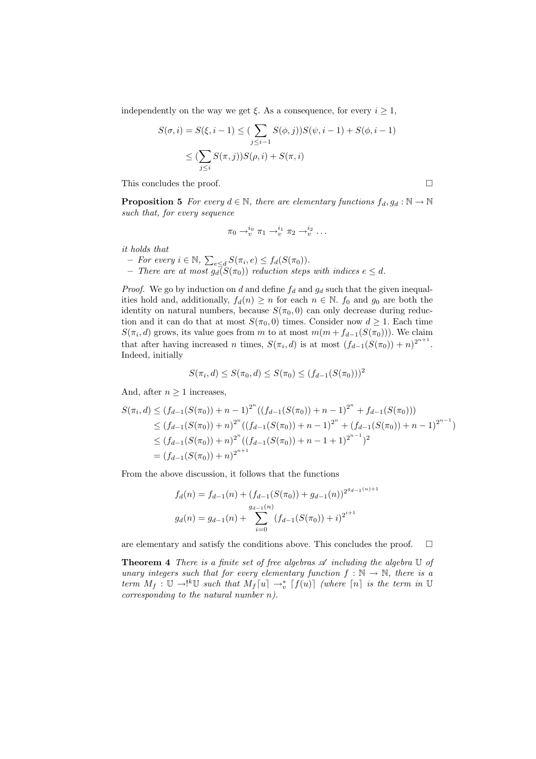independently on the way we get  $\xi$ . As a consequence, for every  $i \geq 1$ ,

$$
S(\sigma, i) = S(\xi, i - 1) \leq (\sum_{j \leq i-1} S(\phi, j)) S(\psi, i - 1) + S(\phi, i - 1)
$$
  

$$
\leq (\sum_{j \leq i} S(\pi, j)) S(\rho, i) + S(\pi, i)
$$

This concludes the proof.  $\Box$ 

**Proposition 5** For every  $d \in \mathbb{N}$ , there are elementary functions  $f_d, g_d : \mathbb{N} \to \mathbb{N}$ such that, for every sequence

$$
\pi_0 \to_v^{i_0} \pi_1 \to_v^{i_1} \pi_2 \to_v^{i_2} \dots
$$

it holds that

- For every  $i \in \mathbb{N}$ ,  $\sum_{e \le d} S(\pi_i, e) \le f_d(S(\pi_0)).$ 

 $-$  There are at most  $g_d(S(\pi_0))$  reduction steps with indices  $e \leq d$ .

*Proof.* We go by induction on d and define  $f_d$  and  $g_d$  such that the given inequalities hold and, additionally,  $f_d(n) \geq n$  for each  $n \in \mathbb{N}$ .  $f_0$  and  $g_0$  are both the identity on natural numbers, because  $S(\pi_0, 0)$  can only decrease during reduction and it can do that at most  $S(\pi_0, 0)$  times. Consider now  $d \geq 1$ . Each time  $S(\pi_i, d)$  grows, its value goes from m to at most  $m(m + f_{d-1}(S(\pi_0)))$ . We claim that after having increased n times,  $S(\pi_i, d)$  is at most  $(f_{d-1}(S(\pi_0)) + n)^{2^{n+1}}$ . Indeed, initially

$$
S(\pi_i, d) \le S(\pi_0, d) \le S(\pi_0) \le (f_{d-1}(S(\pi_0)))^2
$$

And, after  $n \geq 1$  increases,

$$
S(\pi_i, d) \le (f_{d-1}(S(\pi_0)) + n - 1)^{2^n} ((f_{d-1}(S(\pi_0)) + n - 1)^{2^n} + f_{d-1}(S(\pi_0)))
$$
  
\n
$$
\le (f_{d-1}(S(\pi_0)) + n)^{2^n} ((f_{d-1}(S(\pi_0)) + n - 1)^{2^n} + (f_{d-1}(S(\pi_0)) + n - 1)^{2^{n-1}})
$$
  
\n
$$
\le (f_{d-1}(S(\pi_0)) + n)^{2^n} ((f_{d-1}(S(\pi_0)) + n - 1 + 1)^{2^{n-1}})^2
$$
  
\n
$$
= (f_{d-1}(S(\pi_0)) + n)^{2^{n+1}}
$$

From the above discussion, it follows that the functions

$$
f_d(n) = f_{d-1}(n) + (f_{d-1}(S(\pi_0)) + g_{d-1}(n))^{2^{g_{d-1}(n)+1}}
$$
  

$$
g_d(n) = g_{d-1}(n) + \sum_{i=0}^{g_{d-1}(n)} (f_{d-1}(S(\pi_0)) + i)^{2^{i+1}}
$$

are elementary and satisfy the conditions above. This concludes the proof.  $\Box$ 

**Theorem 4** There is a finite set of free algebras  $\mathscr A$  including the algebra  $\mathbb U$  of unary integers such that for every elementary function  $f : \mathbb{N} \to \mathbb{N}$ , there is a term  $M_f: \mathbb{U} \to \ell^k \mathbb{U}$  such that  $M_f[u] \to_v^* [f(u)]$  (where  $[n]$  is the term in  $\mathbb{U}$ corresponding to the natural number  $n$ ).